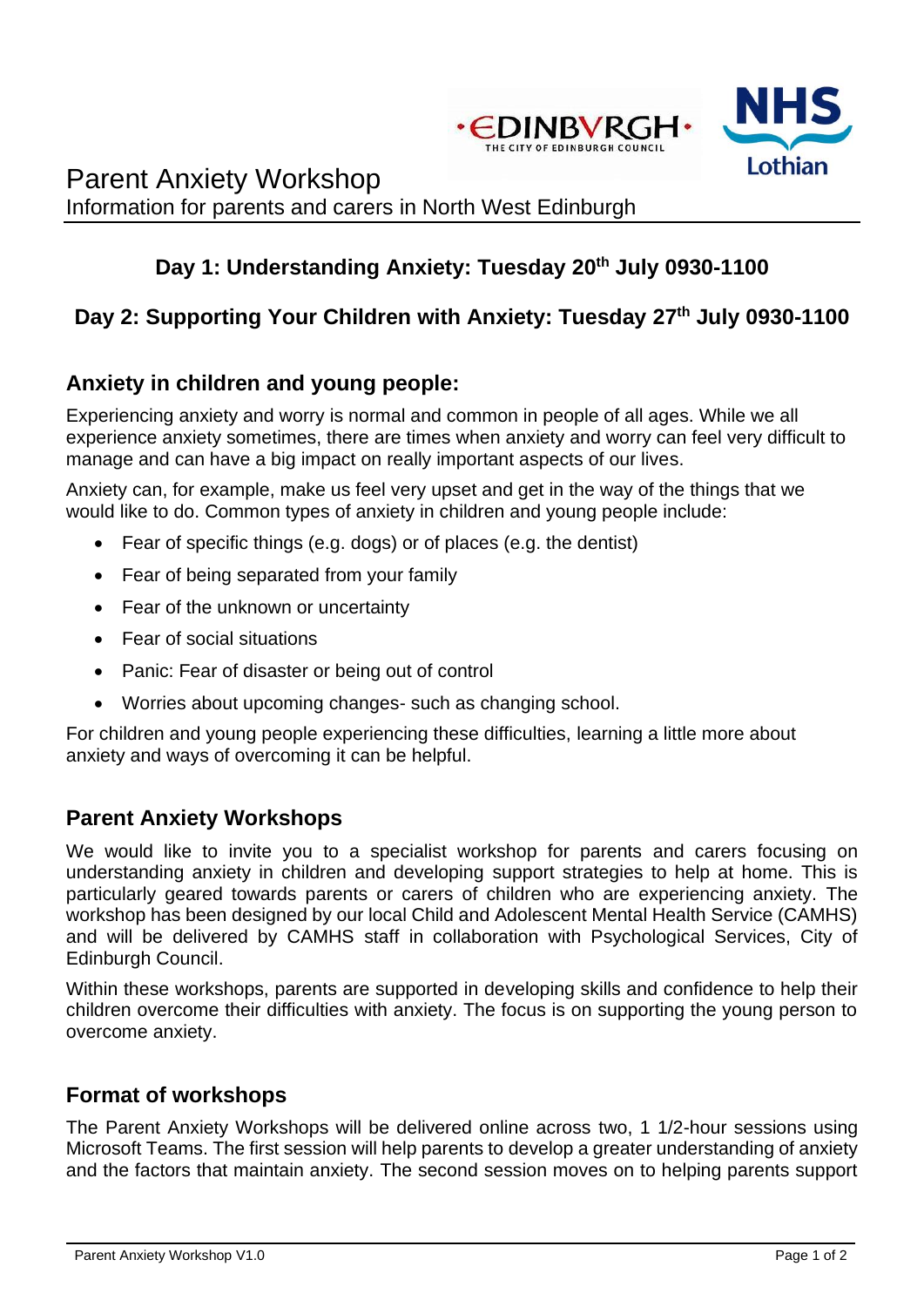

# Parent Anxiety Workshop Information for parents and carers in North West Edinburgh

# **Day 1: Understanding Anxiety: Tuesday 20th July 0930-1100**

## **Day 2: Supporting Your Children with Anxiety: Tuesday 27th July 0930-1100**

#### **Anxiety in children and young people:**

Experiencing anxiety and worry is normal and common in people of all ages. While we all experience anxiety sometimes, there are times when anxiety and worry can feel very difficult to manage and can have a big impact on really important aspects of our lives.

Anxiety can, for example, make us feel very upset and get in the way of the things that we would like to do. Common types of anxiety in children and young people include:

- Fear of specific things (e.g. dogs) or of places (e.g. the dentist)
- Fear of being separated from your family
- Fear of the unknown or uncertainty
- Fear of social situations
- Panic: Fear of disaster or being out of control
- Worries about upcoming changes- such as changing school.

For children and young people experiencing these difficulties, learning a little more about anxiety and ways of overcoming it can be helpful.

#### **Parent Anxiety Workshops**

We would like to invite you to a specialist workshop for parents and carers focusing on understanding anxiety in children and developing support strategies to help at home. This is particularly geared towards parents or carers of children who are experiencing anxiety. The workshop has been designed by our local Child and Adolescent Mental Health Service (CAMHS) and will be delivered by CAMHS staff in collaboration with Psychological Services, City of Edinburgh Council.

Within these workshops, parents are supported in developing skills and confidence to help their children overcome their difficulties with anxiety. The focus is on supporting the young person to overcome anxiety.

#### **Format of workshops**

The Parent Anxiety Workshops will be delivered online across two, 1 1/2-hour sessions using Microsoft Teams. The first session will help parents to develop a greater understanding of anxiety and the factors that maintain anxiety. The second session moves on to helping parents support